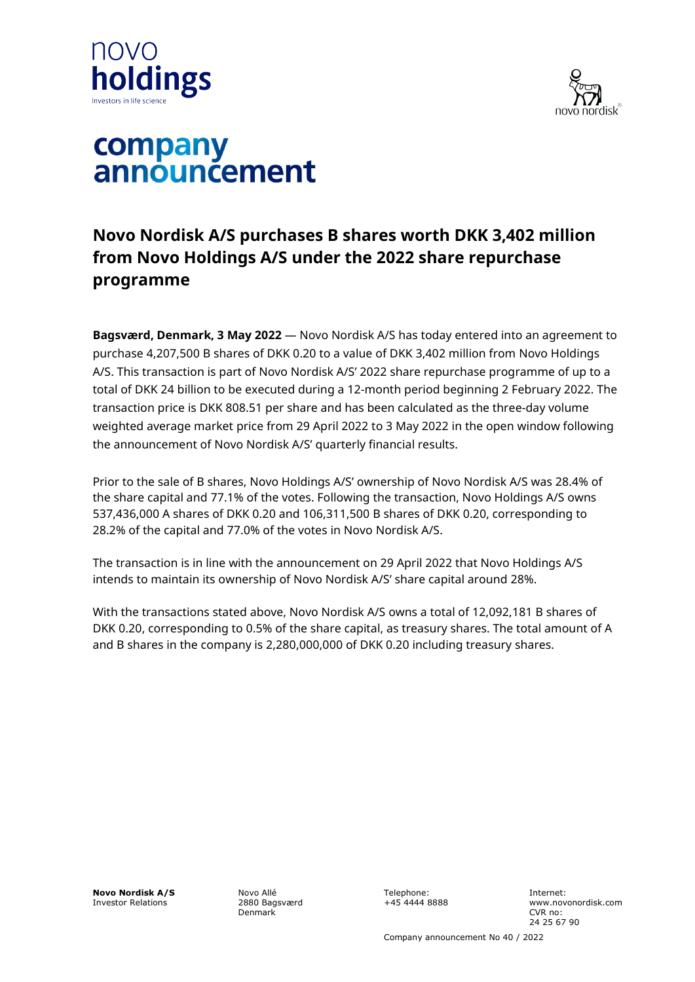



# company announcement

## **Novo Nordisk A/S purchases B shares worth DKK 3,402 million from Novo Holdings A/S under the 2022 share repurchase programme**

**Bagsværd, Denmark, 3 May 2022** — Novo Nordisk A/S has today entered into an agreement to purchase 4,207,500 B shares of DKK 0.20 to a value of DKK 3,402 million from Novo Holdings A/S. This transaction is part of Novo Nordisk A/S' 2022 share repurchase programme of up to a total of DKK 24 billion to be executed during a 12-month period beginning 2 February 2022. The transaction price is DKK 808.51 per share and has been calculated as the three-day volume weighted average market price from 29 April 2022 to 3 May 2022 in the open window following the announcement of Novo Nordisk A/S' quarterly financial results.

Prior to the sale of B shares, Novo Holdings A/S' ownership of Novo Nordisk A/S was 28.4% of the share capital and 77.1% of the votes. Following the transaction, Novo Holdings A/S owns 537,436,000 A shares of DKK 0.20 and 106,311,500 B shares of DKK 0.20, corresponding to 28.2% of the capital and 77.0% of the votes in Novo Nordisk A/S.

The transaction is in line with the announcement on 29 April 2022 that Novo Holdings A/S intends to maintain its ownership of Novo Nordisk A/S' share capital around 28%.

With the transactions stated above, Novo Nordisk A/S owns a total of 12,092,181 B shares of DKK 0.20, corresponding to 0.5% of the share capital, as treasury shares. The total amount of A and B shares in the company is 2,280,000,000 of DKK 0.20 including treasury shares.

**Novo Nordisk A/S** Investor Relations

Novo Allé 2880 Bagsværd Denmark

Telephone: +45 4444 8888 Internet: www.novonordisk.com CVR no: 24 25 67 90

Company announcement No 40 / 2022